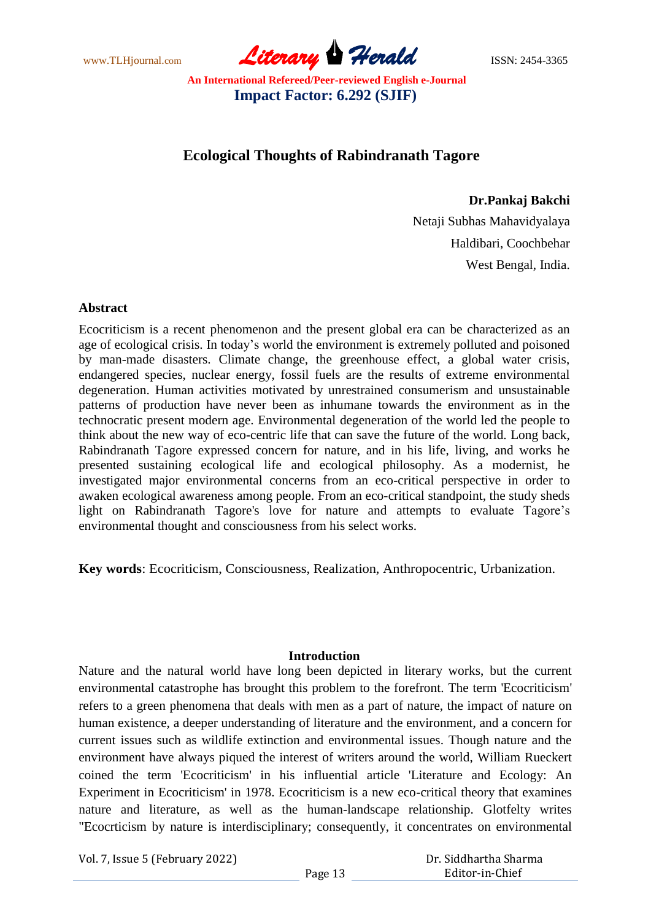www.TLHjournal.com **Literary Herald Herald** ISSN: 2454-3365

# **Ecological Thoughts of Rabindranath Tagore**

**Dr.Pankaj Bakchi**

Netaji Subhas Mahavidyalaya Haldibari, Coochbehar West Bengal, India.

#### **Abstract**

Ecocriticism is a recent phenomenon and the present global era can be characterized as an age of ecological crisis. In today"s world the environment is extremely polluted and poisoned by man-made disasters. Climate change, the greenhouse effect, a global water crisis, endangered species, nuclear energy, fossil fuels are the results of extreme environmental degeneration. Human activities motivated by unrestrained consumerism and unsustainable patterns of production have never been as inhumane towards the environment as in the technocratic present modern age. Environmental degeneration of the world led the people to think about the new way of eco-centric life that can save the future of the world. Long back, Rabindranath Tagore expressed concern for nature, and in his life, living, and works he presented sustaining ecological life and ecological philosophy. As a modernist, he investigated major environmental concerns from an eco-critical perspective in order to awaken ecological awareness among people. From an eco-critical standpoint, the study sheds light on Rabindranath Tagore's love for nature and attempts to evaluate Tagore"s environmental thought and consciousness from his select works.

**Key words**: Ecocriticism, Consciousness, Realization, Anthropocentric, Urbanization.

#### **Introduction**

Nature and the natural world have long been depicted in literary works, but the current environmental catastrophe has brought this problem to the forefront. The term 'Ecocriticism' refers to a green phenomena that deals with men as a part of nature, the impact of nature on human existence, a deeper understanding of literature and the environment, and a concern for current issues such as wildlife extinction and environmental issues. Though nature and the environment have always piqued the interest of writers around the world, William Rueckert coined the term 'Ecocriticism' in his influential article 'Literature and Ecology: An Experiment in Ecocriticism' in 1978. Ecocriticism is a new eco-critical theory that examines nature and literature, as well as the human-landscape relationship. Glotfelty writes "Ecocrticism by nature is interdisciplinary; consequently, it concentrates on environmental

Vol. 7, Issue 5 (February 2022)

 Dr. Siddhartha Sharma Editor-in-Chief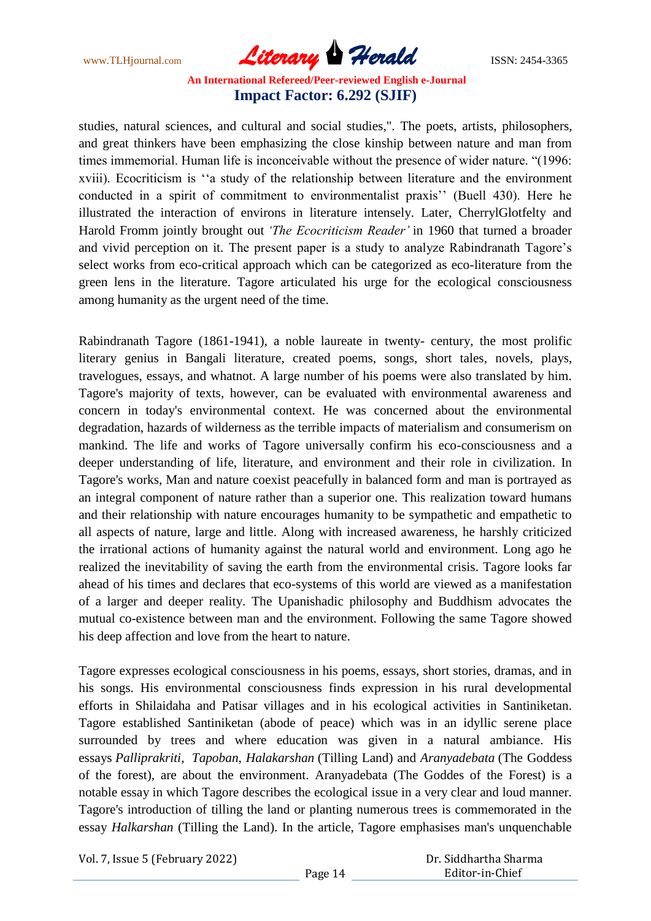www.TLHjournal.com **Literary Herald Herald ISSN: 2454-3365** 

studies, natural sciences, and cultural and social studies,". The poets, artists, philosophers, and great thinkers have been emphasizing the close kinship between nature and man from times immemorial. Human life is inconceivable without the presence of wider nature. "(1996: xviii). Ecocriticism is ""a study of the relationship between literature and the environment conducted in a spirit of commitment to environmentalist praxis" (Buell 430). Here he illustrated the interaction of environs in literature intensely. Later, CherrylGlotfelty and Harold Fromm jointly brought out *'The Ecocriticism Reader'* in 1960 that turned a broader and vivid perception on it. The present paper is a study to analyze Rabindranath Tagore"s select works from eco-critical approach which can be categorized as eco-literature from the green lens in the literature. Tagore articulated his urge for the ecological consciousness among humanity as the urgent need of the time.

Rabindranath Tagore (1861-1941), a noble laureate in twenty- century, the most prolific literary genius in Bangali literature, created poems, songs, short tales, novels, plays, travelogues, essays, and whatnot. A large number of his poems were also translated by him. Tagore's majority of texts, however, can be evaluated with environmental awareness and concern in today's environmental context. He was concerned about the environmental degradation, hazards of wilderness as the terrible impacts of materialism and consumerism on mankind. The life and works of Tagore universally confirm his eco-consciousness and a deeper understanding of life, literature, and environment and their role in civilization. In Tagore's works, Man and nature coexist peacefully in balanced form and man is portrayed as an integral component of nature rather than a superior one. This realization toward humans and their relationship with nature encourages humanity to be sympathetic and empathetic to all aspects of nature, large and little. Along with increased awareness, he harshly criticized the irrational actions of humanity against the natural world and environment. Long ago he realized the inevitability of saving the earth from the environmental crisis. Tagore looks far ahead of his times and declares that eco-systems of this world are viewed as a manifestation of a larger and deeper reality. The Upanishadic philosophy and Buddhism advocates the mutual co-existence between man and the environment. Following the same Tagore showed his deep affection and love from the heart to nature.

Tagore expresses ecological consciousness in his poems, essays, short stories, dramas, and in his songs. His environmental consciousness finds expression in his rural developmental efforts in Shilaidaha and Patisar villages and in his ecological activities in Santiniketan. Tagore established Santiniketan (abode of peace) which was in an idyllic serene place surrounded by trees and where education was given in a natural ambiance. His essays *Palliprakriti*, *Tapoban, Halakarshan* (Tilling Land) and *Aranyadebata* (The Goddess of the forest)*,* are about the environment. Aranyadebata (The Goddes of the Forest) is a notable essay in which Tagore describes the ecological issue in a very clear and loud manner. Tagore's introduction of tilling the land or planting numerous trees is commemorated in the essay *Halkarshan* (Tilling the Land). In the article, Tagore emphasises man's unquenchable

Vol. 7, Issue 5 (February 2022)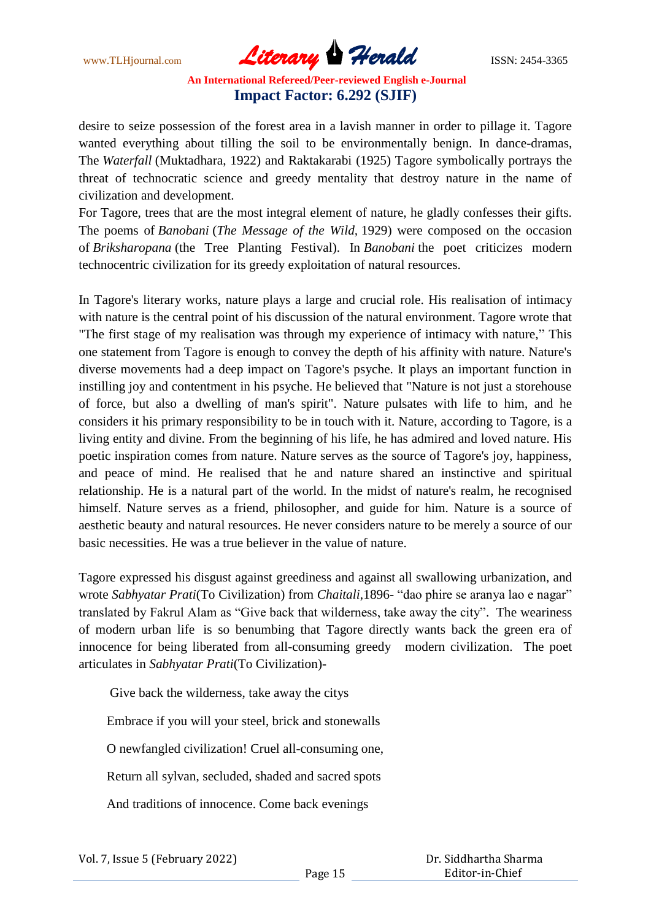www.TLHjournal.com **Literary Herald Herald ISSN: 2454-3365** 

desire to seize possession of the forest area in a lavish manner in order to pillage it. Tagore wanted everything about tilling the soil to be environmentally benign. In dance-dramas, The *Waterfall* (Muktadhara, 1922) and Raktakarabi (1925) Tagore symbolically portrays the threat of technocratic science and greedy mentality that destroy nature in the name of civilization and development.

For Tagore, trees that are the most integral element of nature, he gladly confesses their gifts. The poems of *Banobani* (*The Message of the Wild,* 1929) were composed on the occasion of *Briksharopana* (the Tree Planting Festival). In *Banobani* the poet criticizes modern technocentric civilization for its greedy exploitation of natural resources.

In Tagore's literary works, nature plays a large and crucial role. His realisation of intimacy with nature is the central point of his discussion of the natural environment. Tagore wrote that "The first stage of my realisation was through my experience of intimacy with nature," This one statement from Tagore is enough to convey the depth of his affinity with nature. Nature's diverse movements had a deep impact on Tagore's psyche. It plays an important function in instilling joy and contentment in his psyche. He believed that "Nature is not just a storehouse of force, but also a dwelling of man's spirit". Nature pulsates with life to him, and he considers it his primary responsibility to be in touch with it. Nature, according to Tagore, is a living entity and divine. From the beginning of his life, he has admired and loved nature. His poetic inspiration comes from nature. Nature serves as the source of Tagore's joy, happiness, and peace of mind. He realised that he and nature shared an instinctive and spiritual relationship. He is a natural part of the world. In the midst of nature's realm, he recognised himself. Nature serves as a friend, philosopher, and guide for him. Nature is a source of aesthetic beauty and natural resources. He never considers nature to be merely a source of our basic necessities. He was a true believer in the value of nature.

Tagore expressed his disgust against greediness and against all swallowing urbanization, and wrote *Sabhyatar Prati*(To Civilization) from *Chaitali*,1896- "dao phire se aranya lao e nagar" translated by Fakrul Alam as "Give back that wilderness, take away the city". The weariness of modern urban life is so benumbing that Tagore directly wants back the green era of innocence for being liberated from all-consuming greedy modern civilization. The poet articulates in *Sabhyatar Prati*(To Civilization)-

Give back the wilderness, take away the citys Embrace if you will your steel, brick and stonewalls O newfangled civilization! Cruel all-consuming one, Return all sylvan, secluded, shaded and sacred spots And traditions of innocence. Come back evenings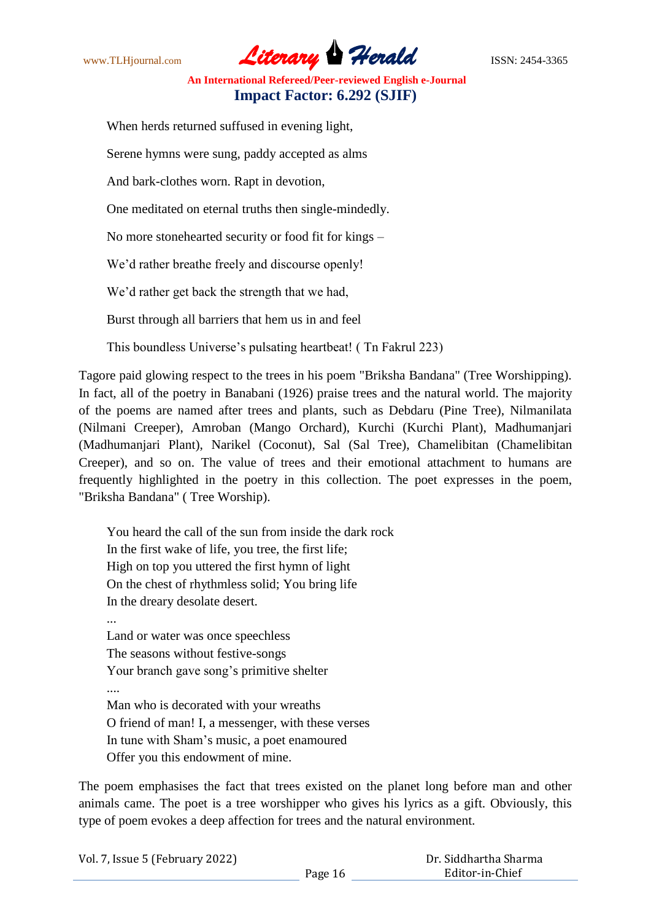www.TLHjournal.com **Literary Herald ISSN: 2454-3365** 

When herds returned suffused in evening light,

Serene hymns were sung, paddy accepted as alms

And bark-clothes worn. Rapt in devotion,

One meditated on eternal truths then single-mindedly.

No more stonehearted security or food fit for kings –

We'd rather breathe freely and discourse openly!

We'd rather get back the strength that we had,

Burst through all barriers that hem us in and feel

This boundless Universe"s pulsating heartbeat! ( Tn Fakrul 223)

Tagore paid glowing respect to the trees in his poem "Briksha Bandana" (Tree Worshipping). In fact, all of the poetry in Banabani (1926) praise trees and the natural world. The majority of the poems are named after trees and plants, such as Debdaru (Pine Tree), Nilmanilata (Nilmani Creeper), Amroban (Mango Orchard), Kurchi (Kurchi Plant), Madhumanjari (Madhumanjari Plant), Narikel (Coconut), Sal (Sal Tree), Chamelibitan (Chamelibitan Creeper), and so on. The value of trees and their emotional attachment to humans are frequently highlighted in the poetry in this collection. The poet expresses in the poem, "Briksha Bandana" ( Tree Worship).

You heard the call of the sun from inside the dark rock In the first wake of life, you tree, the first life; High on top you uttered the first hymn of light On the chest of rhythmless solid; You bring life In the dreary desolate desert. ... Land or water was once speechless The seasons without festive-songs Your branch gave song"s primitive shelter .... Man who is decorated with your wreaths O friend of man! I, a messenger, with these verses In tune with Sham"s music, a poet enamoured Offer you this endowment of mine.

The poem emphasises the fact that trees existed on the planet long before man and other animals came. The poet is a tree worshipper who gives his lyrics as a gift. Obviously, this type of poem evokes a deep affection for trees and the natural environment.

| Vol. 7, Issue 5 (February 2022) |         | Dr. Siddhartha Sharma |  |
|---------------------------------|---------|-----------------------|--|
|                                 | Page 16 | Editor-in-Chief       |  |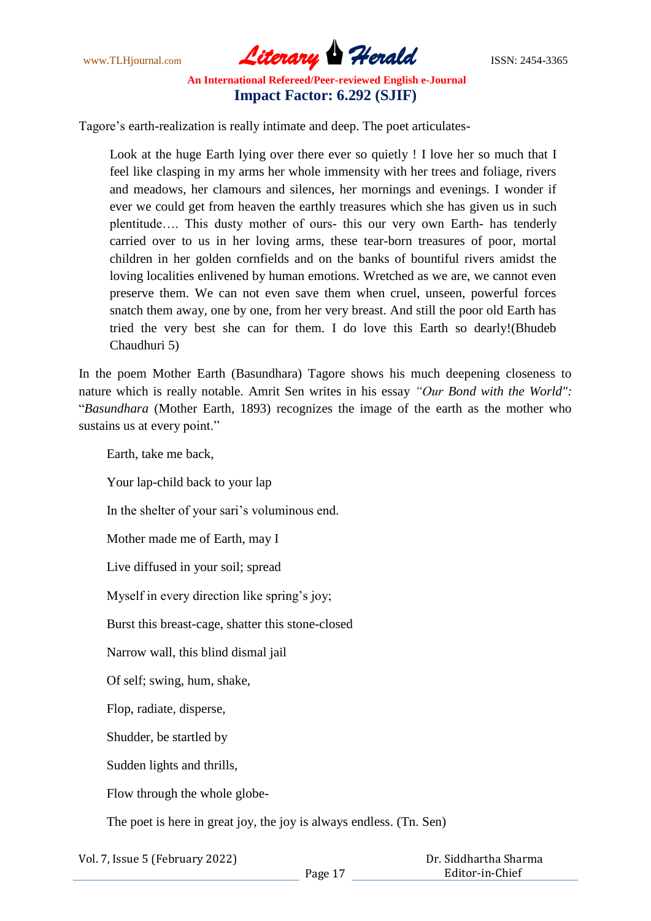www.TLHjournal.com **Literary Herald Herald ISSN: 2454-3365** 

Tagore's earth-realization is really intimate and deep. The poet articulates-

Look at the huge Earth lying over there ever so quietly ! I love her so much that I feel like clasping in my arms her whole immensity with her trees and foliage, rivers and meadows, her clamours and silences, her mornings and evenings. I wonder if ever we could get from heaven the earthly treasures which she has given us in such plentitude…. This dusty mother of ours- this our very own Earth- has tenderly carried over to us in her loving arms, these tear-born treasures of poor, mortal children in her golden cornfields and on the banks of bountiful rivers amidst the loving localities enlivened by human emotions. Wretched as we are, we cannot even preserve them. We can not even save them when cruel, unseen, powerful forces snatch them away, one by one, from her very breast. And still the poor old Earth has tried the very best she can for them. I do love this Earth so dearly!(Bhudeb Chaudhuri 5)

In the poem Mother Earth (Basundhara) Tagore shows his much deepening closeness to nature which is really notable. Amrit Sen writes in his essay *"Our Bond with the World":*  "*Basundhara* (Mother Earth, 1893) recognizes the image of the earth as the mother who sustains us at every point."

Earth, take me back, Your lap-child back to your lap In the shelter of your sari's voluminous end. Mother made me of Earth, may I Live diffused in your soil; spread Myself in every direction like spring's joy; Burst this breast-cage, shatter this stone-closed Narrow wall, this blind dismal jail Of self; swing, hum, shake, Flop, radiate, disperse, Shudder, be startled by Sudden lights and thrills, Flow through the whole globe-The poet is here in great joy, the joy is always endless. (Tn. Sen)

Vol. 7, Issue 5 (February 2022)

Page 17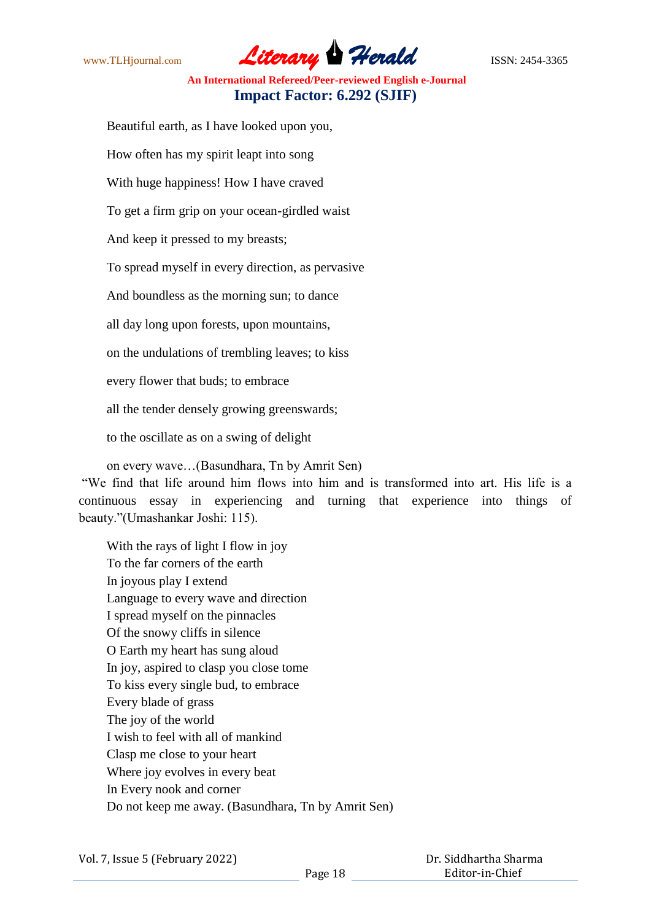www.TLHjournal.com **Literary Herald Herald** ISSN: 2454-3365

Beautiful earth, as I have looked upon you,

How often has my spirit leapt into song

With huge happiness! How I have craved

To get a firm grip on your ocean-girdled waist

And keep it pressed to my breasts;

To spread myself in every direction, as pervasive

And boundless as the morning sun; to dance

all day long upon forests, upon mountains,

on the undulations of trembling leaves; to kiss

every flower that buds; to embrace

all the tender densely growing greenswards;

to the oscillate as on a swing of delight

on every wave…(Basundhara, Tn by Amrit Sen)

"We find that life around him flows into him and is transformed into art. His life is a continuous essay in experiencing and turning that experience into things of beauty."(Umashankar Joshi: 115).

With the rays of light I flow in joy To the far corners of the earth In joyous play I extend Language to every wave and direction I spread myself on the pinnacles Of the snowy cliffs in silence O Earth my heart has sung aloud In joy, aspired to clasp you close tome To kiss every single bud, to embrace Every blade of grass The joy of the world I wish to feel with all of mankind Clasp me close to your heart Where joy evolves in every beat In Every nook and corner Do not keep me away. (Basundhara, Tn by Amrit Sen)

 Dr. Siddhartha Sharma Editor-in-Chief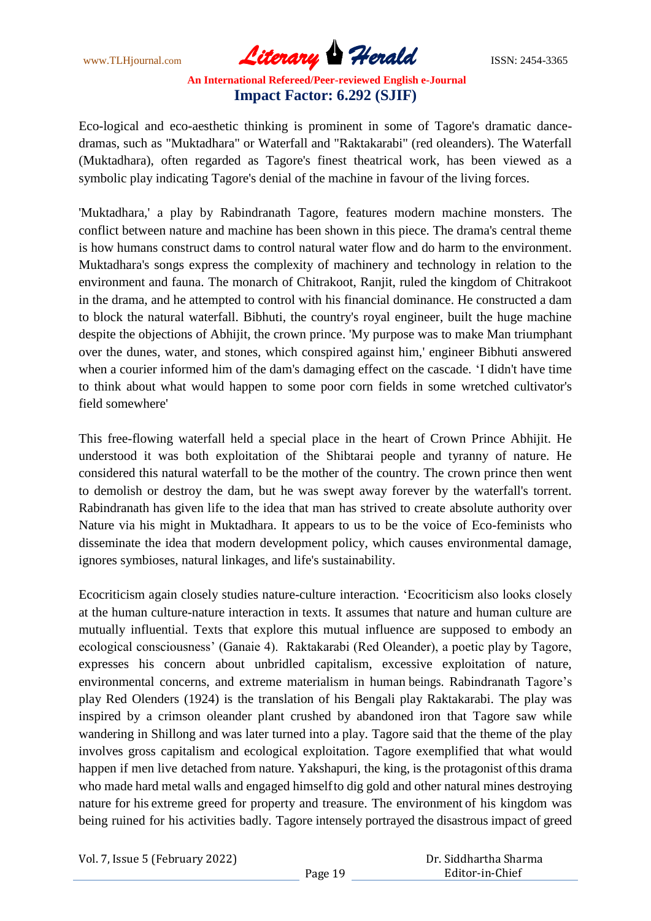www.TLHjournal.com **Literary Herald Herald ISSN: 2454-3365** 

Eco-logical and eco-aesthetic thinking is prominent in some of Tagore's dramatic dancedramas, such as "Muktadhara" or Waterfall and "Raktakarabi" (red oleanders). The Waterfall (Muktadhara), often regarded as Tagore's finest theatrical work, has been viewed as a symbolic play indicating Tagore's denial of the machine in favour of the living forces.

'Muktadhara,' a play by Rabindranath Tagore, features modern machine monsters. The conflict between nature and machine has been shown in this piece. The drama's central theme is how humans construct dams to control natural water flow and do harm to the environment. Muktadhara's songs express the complexity of machinery and technology in relation to the environment and fauna. The monarch of Chitrakoot, Ranjit, ruled the kingdom of Chitrakoot in the drama, and he attempted to control with his financial dominance. He constructed a dam to block the natural waterfall. Bibhuti, the country's royal engineer, built the huge machine despite the objections of Abhijit, the crown prince. 'My purpose was to make Man triumphant over the dunes, water, and stones, which conspired against him,' engineer Bibhuti answered when a courier informed him of the dam's damaging effect on the cascade. "I didn't have time to think about what would happen to some poor corn fields in some wretched cultivator's field somewhere'

This free-flowing waterfall held a special place in the heart of Crown Prince Abhijit. He understood it was both exploitation of the Shibtarai people and tyranny of nature. He considered this natural waterfall to be the mother of the country. The crown prince then went to demolish or destroy the dam, but he was swept away forever by the waterfall's torrent. Rabindranath has given life to the idea that man has strived to create absolute authority over Nature via his might in Muktadhara. It appears to us to be the voice of Eco-feminists who disseminate the idea that modern development policy, which causes environmental damage, ignores symbioses, natural linkages, and life's sustainability.

Ecocriticism again closely studies nature-culture interaction. "Ecocriticism also looks closely at the human culture-nature interaction in texts. It assumes that nature and human culture are mutually influential. Texts that explore this mutual influence are supposed to embody an ecological consciousness" (Ganaie 4). Raktakarabi (Red Oleander), a poetic play by Tagore, expresses his concern about unbridled capitalism, excessive exploitation of nature, environmental concerns, and extreme materialism in human beings. Rabindranath Tagore"s play Red Olenders (1924) is the translation of his Bengali play Raktakarabi. The play was inspired by a crimson oleander plant crushed by abandoned iron that Tagore saw while wandering in Shillong and was later turned into a play. Tagore said that the theme of the play involves gross capitalism and ecological exploitation. Tagore exemplified that what would happen if men live detached from nature. Yakshapuri, the king, is the protagonist ofthis drama who made hard metal walls and engaged himselfto dig gold and other natural mines destroying nature for his extreme greed for property and treasure. The environment of his kingdom was being ruined for his activities badly. Tagore intensely portrayed the disastrous impact of greed

Vol. 7, Issue 5 (February 2022)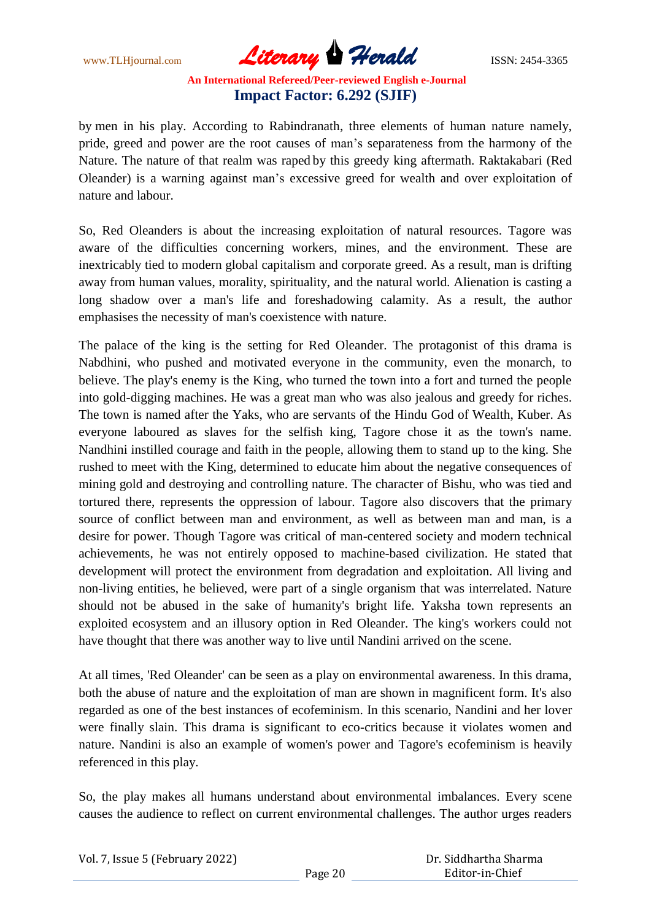www.TLHjournal.com **Literary Herald Herald ISSN: 2454-3365** 

by men in his play. According to Rabindranath, three elements of human nature namely, pride, greed and power are the root causes of man"s separateness from the harmony of the Nature. The nature of that realm was raped by this greedy king aftermath. Raktakabari (Red Oleander) is a warning against man"s excessive greed for wealth and over exploitation of nature and labour.

So, Red Oleanders is about the increasing exploitation of natural resources. Tagore was aware of the difficulties concerning workers, mines, and the environment. These are inextricably tied to modern global capitalism and corporate greed. As a result, man is drifting away from human values, morality, spirituality, and the natural world. Alienation is casting a long shadow over a man's life and foreshadowing calamity. As a result, the author emphasises the necessity of man's coexistence with nature.

The palace of the king is the setting for Red Oleander. The protagonist of this drama is Nabdhini, who pushed and motivated everyone in the community, even the monarch, to believe. The play's enemy is the King, who turned the town into a fort and turned the people into gold-digging machines. He was a great man who was also jealous and greedy for riches. The town is named after the Yaks, who are servants of the Hindu God of Wealth, Kuber. As everyone laboured as slaves for the selfish king, Tagore chose it as the town's name. Nandhini instilled courage and faith in the people, allowing them to stand up to the king. She rushed to meet with the King, determined to educate him about the negative consequences of mining gold and destroying and controlling nature. The character of Bishu, who was tied and tortured there, represents the oppression of labour. Tagore also discovers that the primary source of conflict between man and environment, as well as between man and man, is a desire for power. Though Tagore was critical of man-centered society and modern technical achievements, he was not entirely opposed to machine-based civilization. He stated that development will protect the environment from degradation and exploitation. All living and non-living entities, he believed, were part of a single organism that was interrelated. Nature should not be abused in the sake of humanity's bright life. Yaksha town represents an exploited ecosystem and an illusory option in Red Oleander. The king's workers could not have thought that there was another way to live until Nandini arrived on the scene.

At all times, 'Red Oleander' can be seen as a play on environmental awareness. In this drama, both the abuse of nature and the exploitation of man are shown in magnificent form. It's also regarded as one of the best instances of ecofeminism. In this scenario, Nandini and her lover were finally slain. This drama is significant to eco-critics because it violates women and nature. Nandini is also an example of women's power and Tagore's ecofeminism is heavily referenced in this play.

So, the play makes all humans understand about environmental imbalances. Every scene causes the audience to reflect on current environmental challenges. The author urges readers

| Vol. 7, Issue 5 (February 2022) |         | Dr. Siddhartha Sharma |
|---------------------------------|---------|-----------------------|
|                                 | Page 20 | Editor-in-Chief       |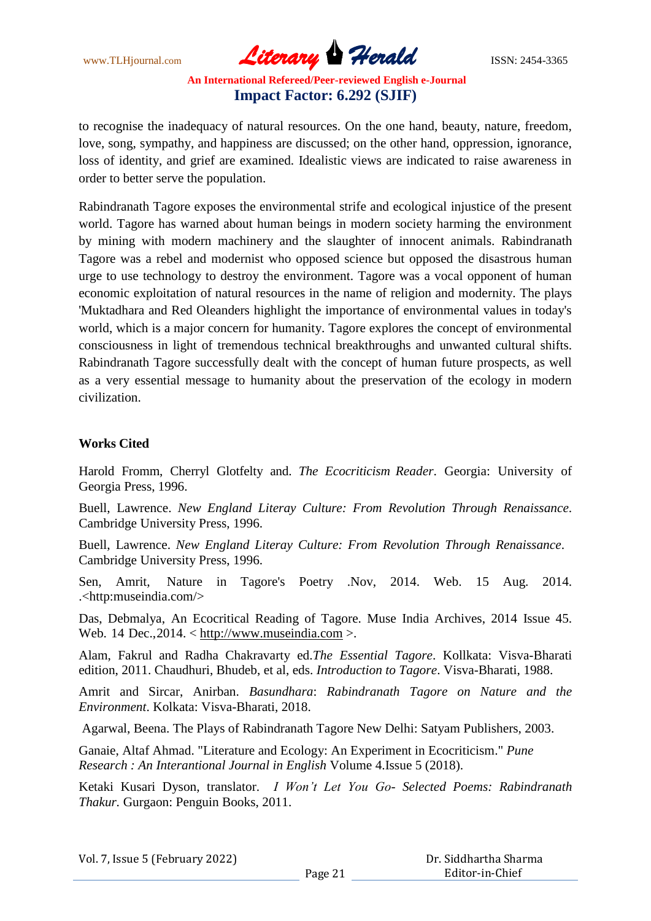www.TLHjournal.com **Literary Herald Herald** ISSN: 2454-3365

to recognise the inadequacy of natural resources. On the one hand, beauty, nature, freedom, love, song, sympathy, and happiness are discussed; on the other hand, oppression, ignorance, loss of identity, and grief are examined. Idealistic views are indicated to raise awareness in order to better serve the population.

Rabindranath Tagore exposes the environmental strife and ecological injustice of the present world. Tagore has warned about human beings in modern society harming the environment by mining with modern machinery and the slaughter of innocent animals. Rabindranath Tagore was a rebel and modernist who opposed science but opposed the disastrous human urge to use technology to destroy the environment. Tagore was a vocal opponent of human economic exploitation of natural resources in the name of religion and modernity. The plays 'Muktadhara and Red Oleanders highlight the importance of environmental values in today's world, which is a major concern for humanity. Tagore explores the concept of environmental consciousness in light of tremendous technical breakthroughs and unwanted cultural shifts. Rabindranath Tagore successfully dealt with the concept of human future prospects, as well as a very essential message to humanity about the preservation of the ecology in modern civilization.

#### **Works Cited**

Harold Fromm, Cherryl Glotfelty and. *The Ecocriticism Reader*. Georgia: University of Georgia Press, 1996.

Buell, Lawrence. *New England Literay Culture: From Revolution Through Renaissance*. Cambridge University Press, 1996.

Buell, Lawrence. *New England Literay Culture: From Revolution Through Renaissance*. Cambridge University Press, 1996.

Sen, Amrit, Nature in Tagore's Poetry .Nov, 2014. Web. 15 Aug. 2014. .<http:museindia.com/>

Das, Debmalya, An Ecocritical Reading of Tagore. Muse India Archives, 2014 Issue 45. Web. 14 Dec.,  $2014. < \frac{http://www.museindia.com>}{http://www.museindia.com>}.$ 

Alam, Fakrul and Radha Chakravarty ed.*The Essential Tagore*. Kollkata: Visva-Bharati edition, 2011. Chaudhuri, Bhudeb, et al, eds. *Introduction to Tagore*. Visva-Bharati, 1988.

Amrit and Sircar, Anirban. *Basundhara*: *Rabindranath Tagore on Nature and the Environment*. Kolkata: Visva-Bharati, 2018.

Agarwal, Beena. The Plays of Rabindranath Tagore New Delhi: Satyam Publishers, 2003.

Ganaie, Altaf Ahmad. "Literature and Ecology: An Experiment in Ecocriticism." *Pune Research : An Interantional Journal in English* Volume 4.Issue 5 (2018).

Ketaki Kusari Dyson, translator. *I Won't Let You Go- Selected Poems: Rabindranath Thakur.* Gurgaon: Penguin Books, 2011.

|  |  | Vol. 7, Issue 5 (February 2022) |  |
|--|--|---------------------------------|--|
|  |  |                                 |  |

 Dr. Siddhartha Sharma Editor-in-Chief